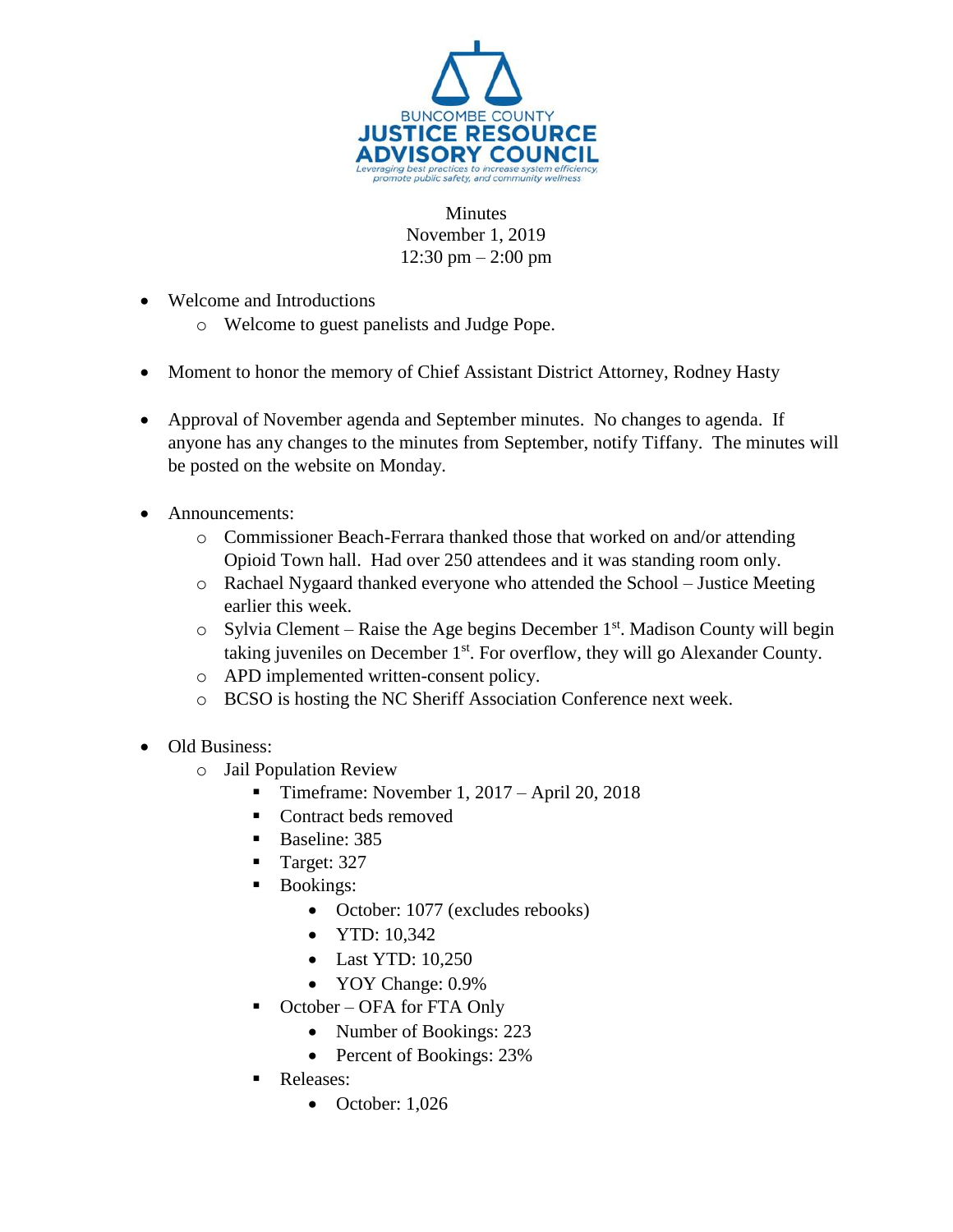

Minutes November 1, 2019 12:30 pm – 2:00 pm

- Welcome and Introductions
	- o Welcome to guest panelists and Judge Pope.
- Moment to honor the memory of Chief Assistant District Attorney, Rodney Hasty
- Approval of November agenda and September minutes. No changes to agenda. If anyone has any changes to the minutes from September, notify Tiffany. The minutes will be posted on the website on Monday.
- Announcements:
	- o Commissioner Beach-Ferrara thanked those that worked on and/or attending Opioid Town hall. Had over 250 attendees and it was standing room only.
	- o Rachael Nygaard thanked everyone who attended the School Justice Meeting earlier this week.
	- $\circ$  Sylvia Clement Raise the Age begins December 1<sup>st</sup>. Madison County will begin taking juveniles on December 1st. For overflow, they will go Alexander County.
	- o APD implemented written-consent policy.
	- o BCSO is hosting the NC Sheriff Association Conference next week.
- Old Business:
	- o Jail Population Review
		- Timeframe: November 1,  $2017 -$ April 20, 2018
		- Contract beds removed
		- Baseline: 385
		- Target: 327
		- **Bookings:** 
			- October: 1077 (excludes rebooks)
			- $\bullet$  YTD: 10.342
			- Last YTD: 10,250
			- YOY Change:  $0.9\%$
		- October OFA for FTA Only
			- Number of Bookings: 223
			- Percent of Bookings: 23%
		- Releases:
			- $\bullet$  October: 1,026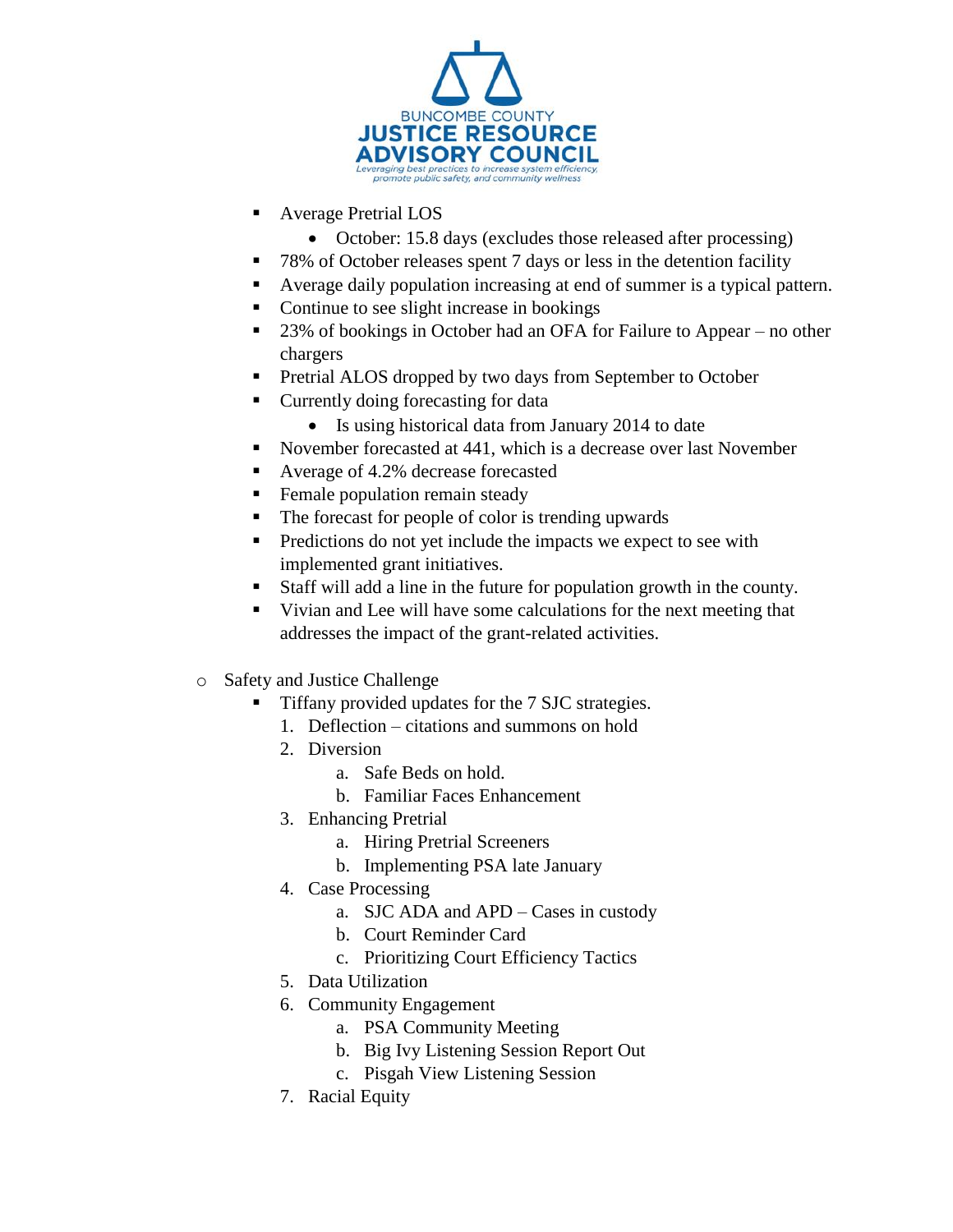

- Average Pretrial LOS
	- October: 15.8 days (excludes those released after processing)
- 78% of October releases spent 7 days or less in the detention facility
- Average daily population increasing at end of summer is a typical pattern.
- Continue to see slight increase in bookings
- 23% of bookings in October had an OFA for Failure to Appear no other chargers
- **Pretrial ALOS dropped by two days from September to October**
- Currently doing forecasting for data
	- Is using historical data from January 2014 to date
- November forecasted at 441, which is a decrease over last November
- Average of 4.2% decrease forecasted
- **Female population remain steady**
- The forecast for people of color is trending upwards
- **Predictions do not yet include the impacts we expect to see with** implemented grant initiatives.
- Staff will add a line in the future for population growth in the county.
- Vivian and Lee will have some calculations for the next meeting that addresses the impact of the grant-related activities.
- o Safety and Justice Challenge
	- Tiffany provided updates for the 7 SJC strategies.
		- 1. Deflection citations and summons on hold
		- 2. Diversion
			- a. Safe Beds on hold.
			- b. Familiar Faces Enhancement
		- 3. Enhancing Pretrial
			- a. Hiring Pretrial Screeners
			- b. Implementing PSA late January
		- 4. Case Processing
			- a. SJC ADA and APD Cases in custody
			- b. Court Reminder Card
			- c. Prioritizing Court Efficiency Tactics
		- 5. Data Utilization
		- 6. Community Engagement
			- a. PSA Community Meeting
			- b. Big Ivy Listening Session Report Out
			- c. Pisgah View Listening Session
		- 7. Racial Equity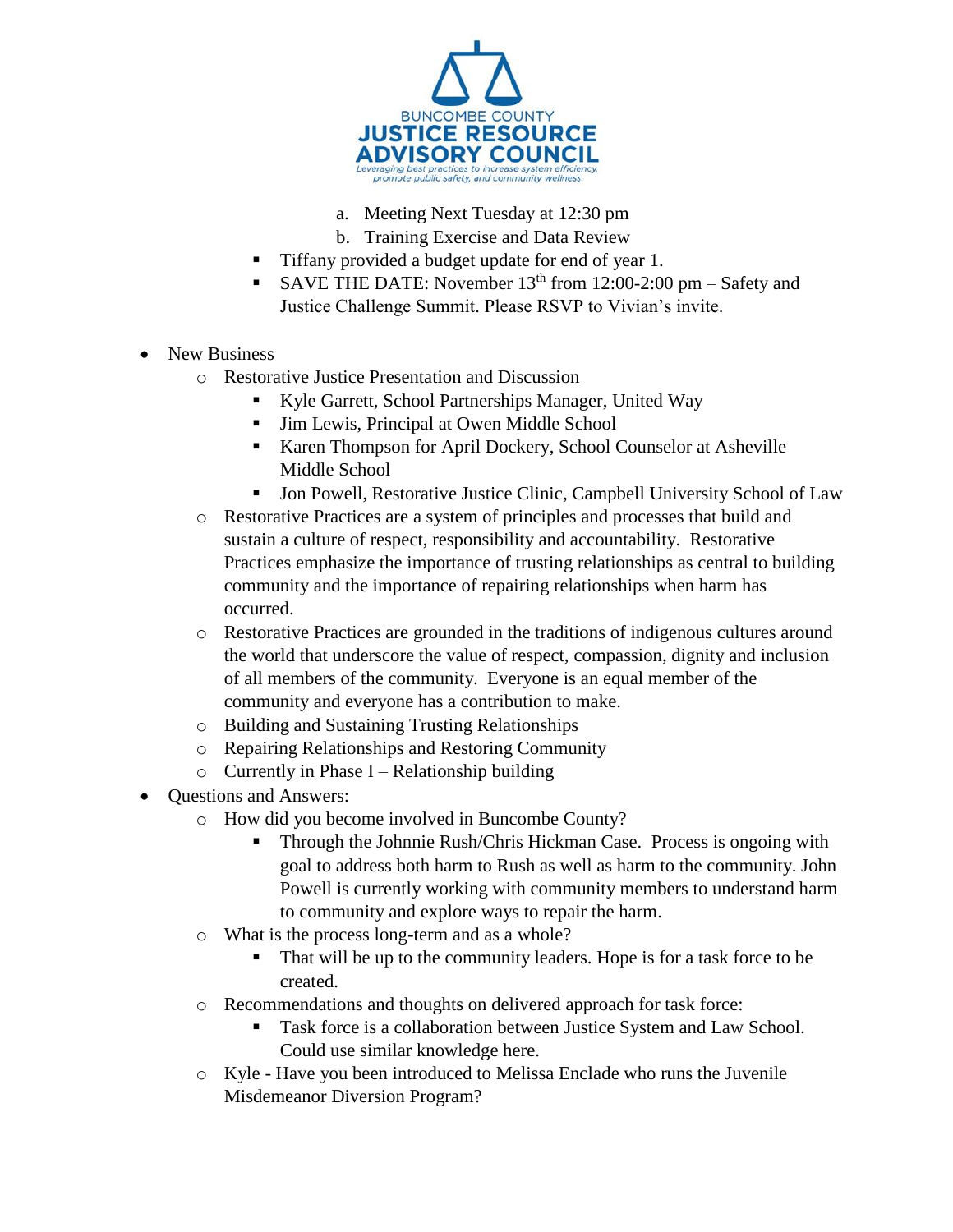

- a. Meeting Next Tuesday at 12:30 pm
- b. Training Exercise and Data Review
- Tiffany provided a budget update for end of year 1.
- SAVE THE DATE: November  $13<sup>th</sup>$  from 12:00-2:00 pm Safety and Justice Challenge Summit. Please RSVP to Vivian's invite.
- New Business
	- o Restorative Justice Presentation and Discussion
		- Kyle Garrett, School Partnerships Manager, United Way
		- Jim Lewis, Principal at Owen Middle School
		- Karen Thompson for April Dockery, School Counselor at Asheville Middle School
		- Jon Powell, Restorative Justice Clinic, Campbell University School of Law
	- o Restorative Practices are a system of principles and processes that build and sustain a culture of respect, responsibility and accountability. Restorative Practices emphasize the importance of trusting relationships as central to building community and the importance of repairing relationships when harm has occurred.
	- o Restorative Practices are grounded in the traditions of indigenous cultures around the world that underscore the value of respect, compassion, dignity and inclusion of all members of the community. Everyone is an equal member of the community and everyone has a contribution to make.
	- o Building and Sustaining Trusting Relationships
	- o Repairing Relationships and Restoring Community
	- $\circ$  Currently in Phase I Relationship building
- Questions and Answers:
	- o How did you become involved in Buncombe County?
		- Through the Johnnie Rush/Chris Hickman Case. Process is ongoing with goal to address both harm to Rush as well as harm to the community. John Powell is currently working with community members to understand harm to community and explore ways to repair the harm.
	- o What is the process long-term and as a whole?
		- That will be up to the community leaders. Hope is for a task force to be created.
	- o Recommendations and thoughts on delivered approach for task force:
		- Task force is a collaboration between Justice System and Law School. Could use similar knowledge here.
	- o Kyle Have you been introduced to Melissa Enclade who runs the Juvenile Misdemeanor Diversion Program?